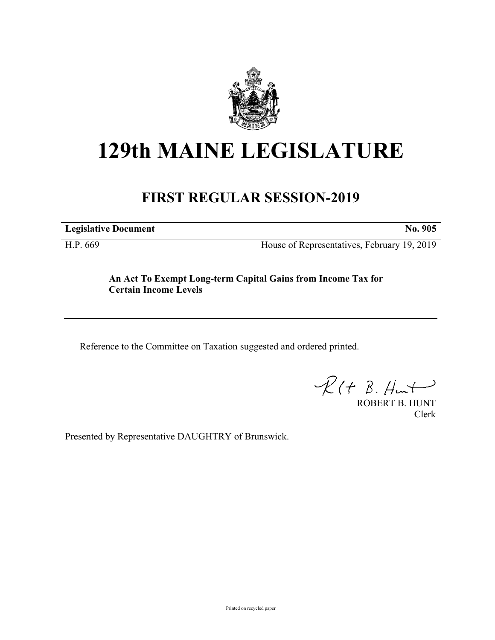

# **129th MAINE LEGISLATURE**

# **FIRST REGULAR SESSION-2019**

**Legislative Document No. 905**

H.P. 669 House of Representatives, February 19, 2019

## **An Act To Exempt Long-term Capital Gains from Income Tax for Certain Income Levels**

Reference to the Committee on Taxation suggested and ordered printed.

 $R(H B. Hmt)$ 

ROBERT B. HUNT Clerk

Presented by Representative DAUGHTRY of Brunswick.